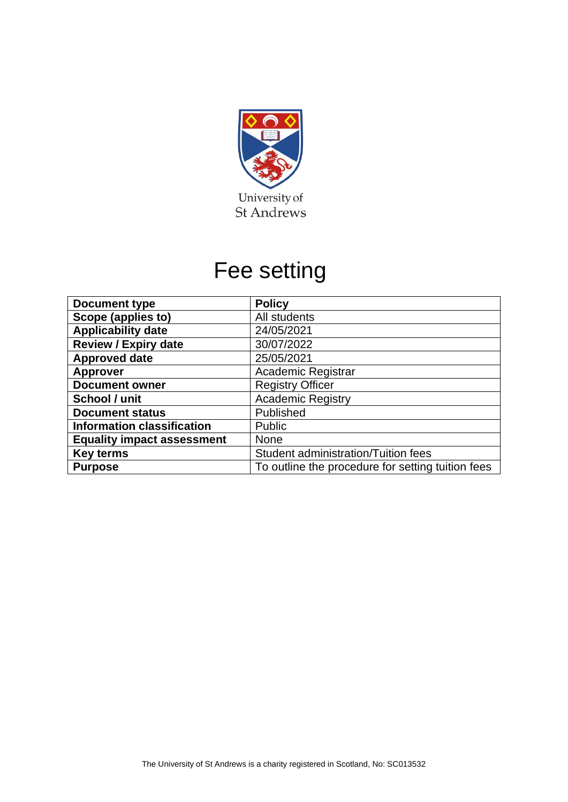

## Fee setting

| <b>Document type</b>              | <b>Policy</b>                                     |  |  |
|-----------------------------------|---------------------------------------------------|--|--|
| Scope (applies to)                | All students                                      |  |  |
| <b>Applicability date</b>         | 24/05/2021                                        |  |  |
| <b>Review / Expiry date</b>       | 30/07/2022                                        |  |  |
| <b>Approved date</b>              | 25/05/2021                                        |  |  |
| <b>Approver</b>                   | <b>Academic Registrar</b>                         |  |  |
| <b>Document owner</b>             | <b>Registry Officer</b>                           |  |  |
| School / unit                     | <b>Academic Registry</b>                          |  |  |
| <b>Document status</b>            | Published                                         |  |  |
| <b>Information classification</b> | Public                                            |  |  |
| <b>Equality impact assessment</b> | <b>None</b>                                       |  |  |
| <b>Key terms</b>                  | Student administration/Tuition fees               |  |  |
| <b>Purpose</b>                    | To outline the procedure for setting tuition fees |  |  |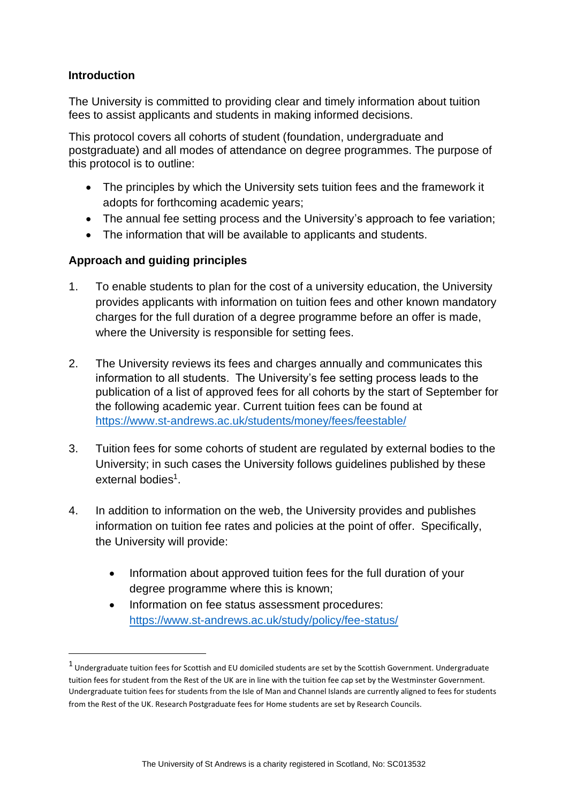## **Introduction**

The University is committed to providing clear and timely information about tuition fees to assist applicants and students in making informed decisions.

This protocol covers all cohorts of student (foundation, undergraduate and postgraduate) and all modes of attendance on degree programmes. The purpose of this protocol is to outline:

- The principles by which the University sets tuition fees and the framework it adopts for forthcoming academic years;
- The annual fee setting process and the University's approach to fee variation;
- The information that will be available to applicants and students.

## **Approach and guiding principles**

- 1. To enable students to plan for the cost of a university education, the University provides applicants with information on tuition fees and other known mandatory charges for the full duration of a degree programme before an offer is made, where the University is responsible for setting fees.
- 2. The University reviews its fees and charges annually and communicates this information to all students. The University's fee setting process leads to the publication of a list of approved fees for all cohorts by the start of September for the following academic year. Current tuition fees can be found at <https://www.st-andrews.ac.uk/students/money/fees/feestable/>
- 3. Tuition fees for some cohorts of student are regulated by external bodies to the University; in such cases the University follows guidelines published by these external bodies<sup>1</sup>.
- 4. In addition to information on the web, the University provides and publishes information on tuition fee rates and policies at the point of offer. Specifically, the University will provide:
	- Information about approved tuition fees for the full duration of your degree programme where this is known;
	- Information on fee status assessment procedures: <https://www.st-andrews.ac.uk/study/policy/fee-status/>

 $<sup>1</sup>$  Undergraduate tuition fees for Scottish and EU domiciled students are set by the Scottish Government. Undergraduate</sup> tuition fees for student from the Rest of the UK are in line with the tuition fee cap set by the Westminster Government. Undergraduate tuition fees for students from the Isle of Man and Channel Islands are currently aligned to fees for students from the Rest of the UK. Research Postgraduate fees for Home students are set by Research Councils.